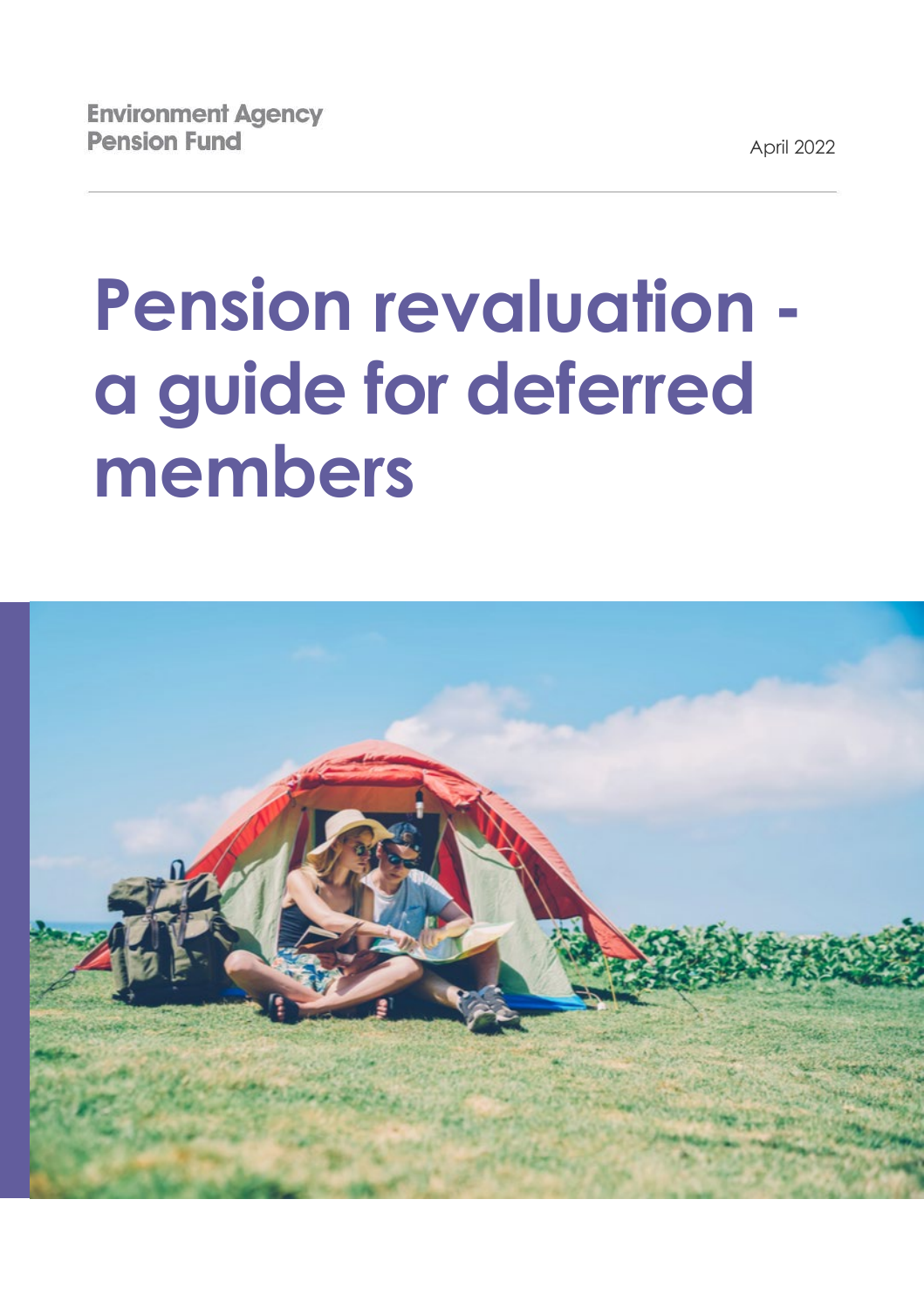April 2022

# **Pension revaluation a guide for deferred members**

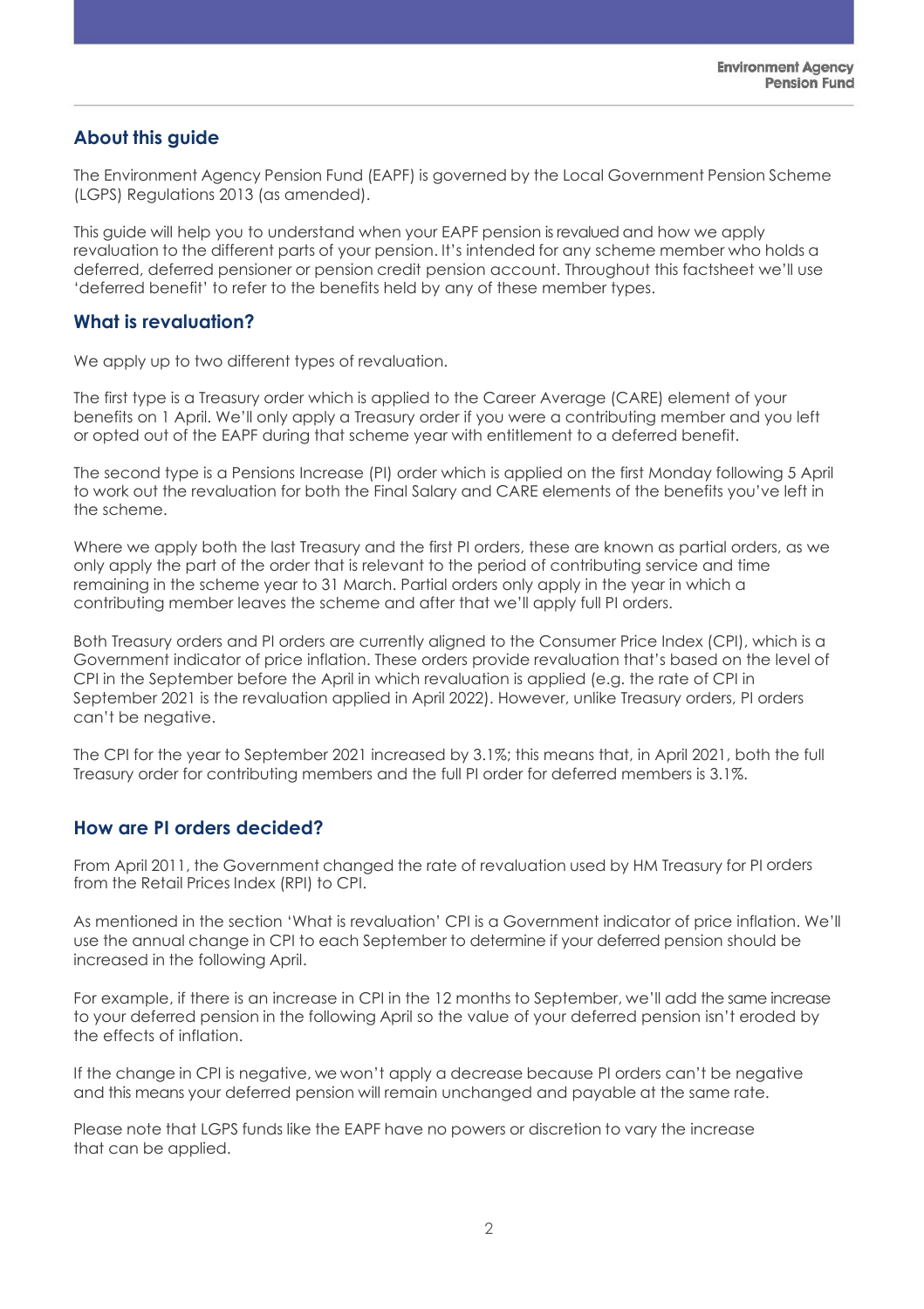# **About this guide**

The Environment Agency Pension Fund (EAPF) is governed by the Local Government Pension Scheme (LGPS) Regulations 2013 (as amended).

This guide will help you to understand when your EAPF pension is revalued and how we apply revaluation to the different parts of your pension. It's intended for any scheme member who holds a deferred, deferred pensioner or pension credit pension account. Throughout this factsheet we'll use 'deferred benefit' to refer to the benefits held by any of these member types.

### **What is revaluation?**

We apply up to two different types of revaluation.

The first type is a Treasury order which is applied to the Career Average (CARE) element of your benefits on 1 April. We'll only apply a Treasury order if you were a contributing member and you left or opted out of the EAPF during that scheme year with entitlement to a deferred benefit.

The second type is a Pensions Increase (PI) order which is applied on the first Monday following 5 April to work out the revaluation for both the Final Salary and CARE elements of the benefits you've left in the scheme.

Where we apply both the last Treasury and the first PI orders, these are known as partial orders, as we only apply the part of the order that is relevant to the period of contributing service and time remaining in the scheme year to 31 March. Partial orders only apply in the year in which a contributing member leaves the scheme and after that we'll apply full PI orders.

Both Treasury orders and PI orders are currently aligned to the Consumer Price Index (CPI), which is a Government indicator of price inflation. These orders provide revaluation that's based on the level of CPI in the September before the April in which revaluation is applied (e.g. the rate of CPI in September 2021 is the revaluation applied in April 2022). However, unlike Treasury orders, PI orders can't be negative.

The CPI for the year to September 2021 increased by 3.1%; this means that, in April 2021, both the full Treasury order for contributing members and the full PI order for deferred members is 3.1%.

#### **How are PI orders decided?**

From April 2011, the Government changed the rate of revaluation used by HM Treasury for PI orders from the Retail Prices Index (RPI) to CPI.

As mentioned in the section 'What is revaluation' CPI is a Government indicator of price inflation. We'll use the annual change in CPI to each September to determine if your deferred pension should be increased in the following April.

For example, if there is an increase in CPI in the 12 months to September, we'll add the same increase to your deferred pension in the following April so the value of your deferred pension isn't eroded by the effects of inflation.

If the change in CPI is negative, we won't apply a decrease because PI orders can't be negative and this means your deferred pension will remain unchanged and payable at the same rate.

Please note that LGPS funds like the EAPF have no powers or discretion to vary the increase that can be applied.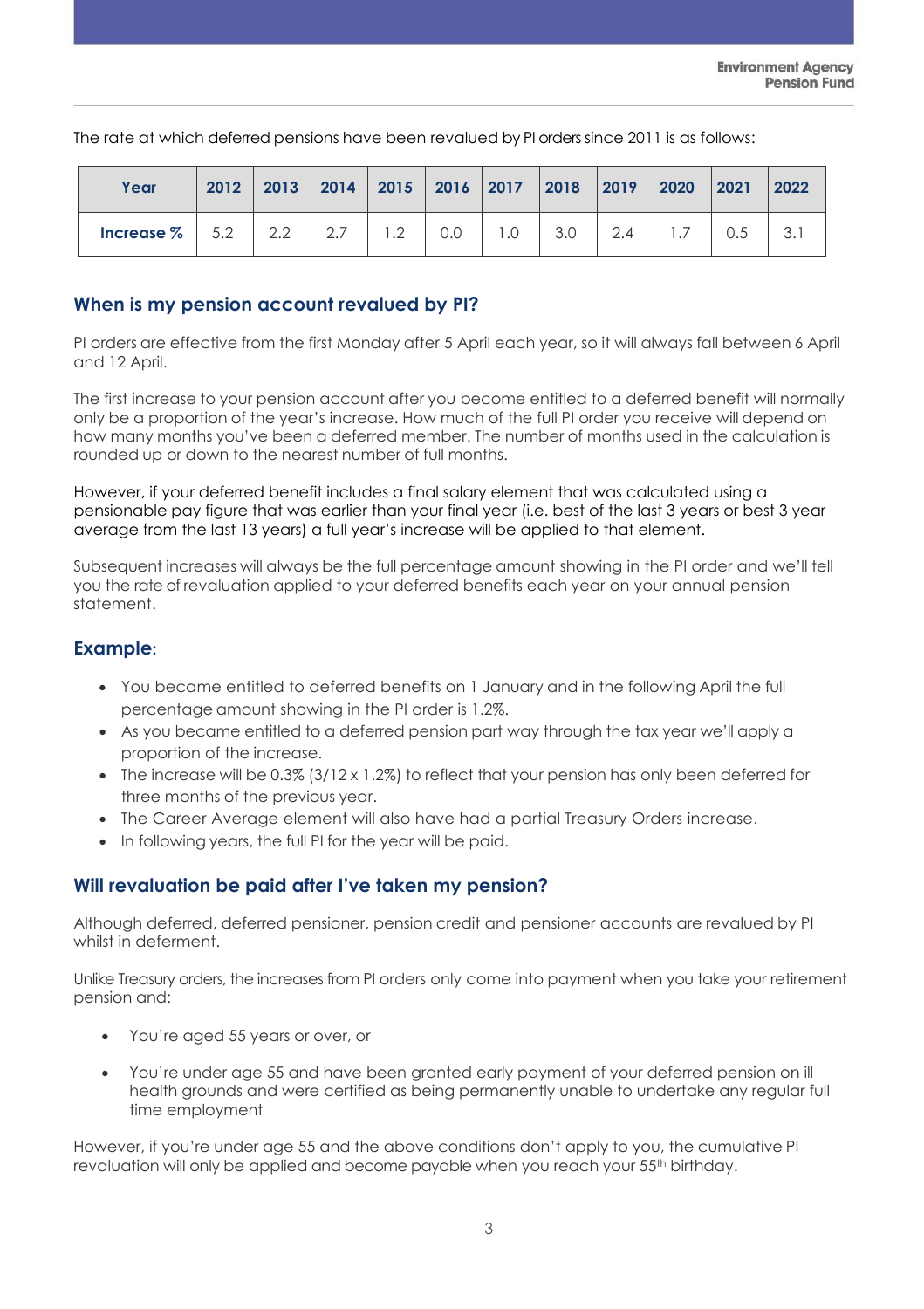The rate at which deferred pensions have been revalued by PI orders since 2011 is as follows:

| Year                                         | 2012   2013   2014   2015   2016   2017   2018   2019   2020   2021   2022 |  |     |  |                               |     |  |
|----------------------------------------------|----------------------------------------------------------------------------|--|-----|--|-------------------------------|-----|--|
| <b>Increase</b> $\%$   5.2   2.2   2.7   1.2 |                                                                            |  | 0.0 |  | $1.0$   $3.0$   $2.4$   $1.7$ | 0.5 |  |

# **When is my pension account revalued by PI?**

PI orders are effective from the first Monday after 5 April each year, so it will always fall between 6 April and 12 April.

The first increase to your pension account after you become entitled to a deferred benefit will normally only be a proportion of the year's increase. How much of the full PI order you receive will depend on how many months you've been a deferred member. The number of months used in the calculation is rounded up or down to the nearest number of full months.

However, if your deferred benefit includes a final salary element that was calculated using a pensionable pay figure that was earlier than your final year (i.e. best of the last 3 years or best 3 year average from the last 13 years) a full year's increase will be applied to that element.

Subsequent increases will always be the full percentage amount showing in the PI order and we'll tell you the rate of revaluation applied to your deferred benefits each year on your annual pension statement.

## **Example:**

- You became entitled to deferred benefits on 1 January and in the following April the full percentage amount showing in the PI order is 1.2%.
- As you became entitled to a deferred pension part way through the tax year we'll apply a proportion of the increase.
- The increase will be 0.3% (3/12 x 1.2%) to reflect that your pension has only been deferred for three months of the previous year.
- The Career Average element will also have had a partial Treasury Orders increase.
- In following years, the full PI for the year will be paid.

# **Will revaluation be paid after I've taken my pension?**

Although deferred, deferred pensioner, pension credit and pensioner accounts are revalued by PI whilst in deferment.

Unlike Treasury orders, the increases from PI orders only come into payment when you take your retirement pension and:

- You're aged 55 years or over, or
- You're under age 55 and have been granted early payment of your deferred pension on ill health grounds and were certified as being permanently unable to undertake any regular full time employment

However, if you're under age 55 and the above conditions don't apply to you, the cumulative PI revaluation will only be applied and become payable when you reach your 55<sup>th</sup> birthday.